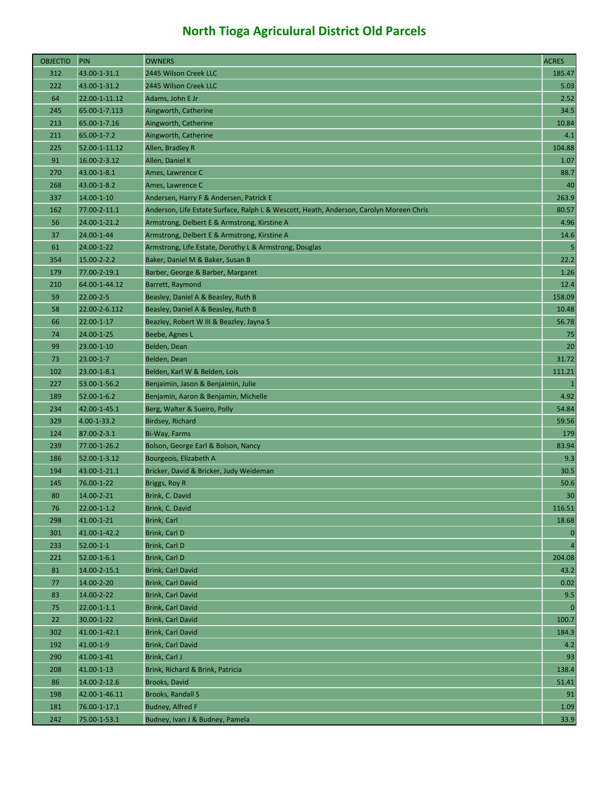| <b>OBJECTID</b> | PIN               | <b>OWNERS</b>                                                                           | <b>ACRES</b>     |
|-----------------|-------------------|-----------------------------------------------------------------------------------------|------------------|
| 312             | 43.00-1-31.1      | 2445 Wilson Creek LLC                                                                   | 185.47           |
| 222             | 43.00-1-31.2      | 2445 Wilson Creek LLC                                                                   | 5.03             |
| 64              | 22.00-1-11.12     | Adams, John E Jr                                                                        | 2.52             |
| 245             | 65.00-1-7.113     | Aingworth, Catherine                                                                    | 34.5             |
| 213             | 65.00-1-7.16      | Aingworth, Catherine                                                                    | 10.84            |
| 211             | 65.00-1-7.2       | Aingworth, Catherine                                                                    | 4.1              |
| 225             | 52.00-1-11.12     | Allen, Bradley R                                                                        | 104.88           |
| 91              | 16.00-2-3.12      | Allen, Daniel K                                                                         | 1.07             |
| 270             | 43.00-1-8.1       | Ames, Lawrence C                                                                        | 88.7             |
| 268             | 43.00-1-8.2       | Ames, Lawrence C                                                                        | 40               |
| 337             | 14.00-1-10        | Andersen, Harry F & Andersen, Patrick E                                                 | 263.9            |
| 162             | 77.00-2-11.1      | Anderson, Life Estate Surface, Ralph L & Wescott, Heath, Anderson, Carolyn Moreen Chris | 80.57            |
| 56              | 24.00-1-21.2      | Armstrong, Delbert E & Armstrong, Kirstine A                                            | 4.96             |
| 37              | 24.00-1-44        | Armstrong, Delbert E & Armstrong, Kirstine A                                            | 14.6             |
| 61              | 24.00-1-22        | Armstrong, Life Estate, Dorothy L & Armstrong, Douglas                                  | 5 <sup>1</sup>   |
| 354             | 15.00-2-2.2       | Baker, Daniel M & Baker, Susan B                                                        | 22.2             |
| 179             | 77.00-2-19.1      | Barber, George & Barber, Margaret                                                       | 1.26             |
| 210             | 64.00-1-44.12     | <b>Barrett, Raymond</b>                                                                 | 12.4             |
| 59              | $22.00 - 2 - 5$   | Beasley, Daniel A & Beasley, Ruth B                                                     | 158.09           |
| 58              | 22.00-2-6.112     | Beasley, Daniel A & Beasley, Ruth B                                                     | 10.48            |
| 66              | 22.00-1-17        | Beazley, Robert W III & Beazley, Jayna S                                                | 56.78            |
| 74              | 24.00-1-25        | Beebe, Agnes L                                                                          | 75               |
| 99              | 23.00-1-10        | Belden, Dean                                                                            | 20               |
| 73              | $23.00 - 1 - 7$   | Belden, Dean                                                                            | 31.72            |
| 102             | 23.00-1-8.1       | Belden, Karl W & Belden, Lois                                                           | 111.21           |
| 227             | 53.00-1-56.2      | Benjaimin, Jason & Benjaimin, Julie                                                     | $\vert$ 1        |
| 189             | 52.00-1-6.2       | Benjamin, Aaron & Benjamin, Michelle                                                    | 4.92             |
| 234             | 42.00-1-45.1      | Berg, Walter & Sueiro, Polly                                                            | 54.84            |
| 329             | 4.00-1-33.2       | Birdsey, Richard                                                                        | 59.56            |
| 124             | 87.00-2-3.1       | Bi-Way, Farms                                                                           | 179              |
| 239             | 77.00-1-26.2      | Bolson, George Earl & Bolson, Nancy                                                     | 83.94            |
| 186             | 52.00-1-3.12      | Bourgeois, Elizabeth A                                                                  | 9.3              |
| 194             | 43.00-1-21.1      | Bricker, David & Bricker, Judy Weideman                                                 | 30.5             |
| 145             | 76.00-1-22        | Briggs, Roy R                                                                           | 50.6             |
| 80              | 14.00-2-21        | Brink, C. David                                                                         | 30               |
| 76              | 22.00-1-1.2       | Brink, C. David                                                                         | 116.51           |
| 298             | 41.00-1-21        | Brink, Carl                                                                             | 18.68            |
| 301             | 41.00-1-42.2      | Brink, Carl D                                                                           | $\overline{0}$   |
| 233             | $52.00 - 1 - 1$   | Brink, Carl D                                                                           | $\overline{4}$   |
| 221             | $52.00 - 1 - 6.1$ | Brink, Carl D                                                                           | 204.08           |
| 81              | 14.00-2-15.1      | Brink, Carl David                                                                       | 43.2             |
| 77              | 14.00-2-20        | Brink, Carl David                                                                       | 0.02             |
| 83              | 14.00-2-22        | <b>Brink, Carl David</b>                                                                | 9.5              |
| 75              | 22.00-1-1.1       | Brink, Carl David                                                                       | $\boldsymbol{0}$ |
| 22              | 30.00-1-22        | <b>Brink, Carl David</b>                                                                | 100.7            |
| 302             | 41.00-1-42.1      | Brink, Carl David                                                                       | 184.3            |
| 192             | 41.00-1-9         | Brink, Carl David                                                                       | 4.2              |
| 290             | 41.00-1-41        | Brink, Carl J                                                                           | 93               |
| 208             | 41.00-1-13        | Brink, Richard & Brink, Patricia                                                        | 138.4            |
| 86              | 14.00-2-12.6      | Brooks, David                                                                           | 51.41            |
| 198             | 42.00-1-46.11     | <b>Brooks, Randall S</b>                                                                | 91               |
| 181             | 76.00-1-17.1      | Budney, Alfred F                                                                        | 1.09             |
| 242             | 75.00-1-53.1      | Budney, Ivan J & Budney, Pamela                                                         | 33.9             |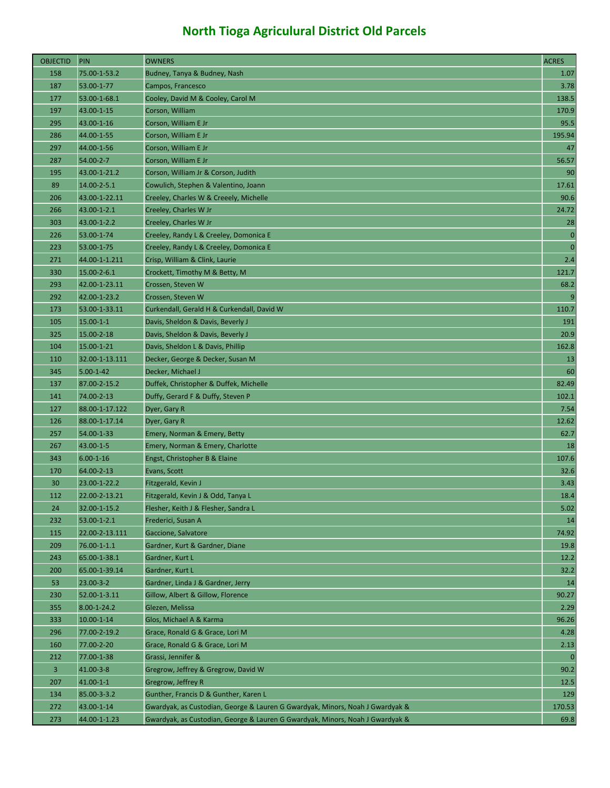| <b>OBJECTID</b> | PIN               | <b>OWNERS</b>                                                                 | <b>ACRES</b>   |
|-----------------|-------------------|-------------------------------------------------------------------------------|----------------|
| 158             | 75.00-1-53.2      | Budney, Tanya & Budney, Nash                                                  | 1.07           |
| 187             | 53.00-1-77        | Campos, Francesco                                                             | 3.78           |
| 177             | 53.00-1-68.1      | Cooley, David M & Cooley, Carol M                                             | 138.5          |
| 197             | 43.00-1-15        | Corson, William                                                               | 170.9          |
| 295             | 43.00-1-16        | Corson, William E Jr                                                          | 95.5           |
| 286             | 44.00-1-55        | Corson, William E Jr                                                          | 195.94         |
| 297             | 44.00-1-56        | Corson, William E Jr                                                          | 47             |
| 287             | 54.00-2-7         | Corson, William E Jr                                                          | 56.57          |
| 195             | 43.00-1-21.2      | Corson, William Jr & Corson, Judith                                           | 90             |
| 89              | 14.00-2-5.1       | Cowulich, Stephen & Valentino, Joann                                          | 17.61          |
| 206             | 43.00-1-22.11     | Creeley, Charles W & Creeely, Michelle                                        | 90.6           |
| 266             | 43.00-1-2.1       | Creeley, Charles W Jr                                                         | 24.72          |
| 303             | 43.00-1-2.2       | Creeley, Charles W Jr                                                         | 28             |
| 226             | 53.00-1-74        | Creeley, Randy L & Creeley, Domonica E                                        | $\overline{0}$ |
| 223             | 53.00-1-75        | Creeley, Randy L & Creeley, Domonica E                                        | $\overline{0}$ |
| 271             | 44.00-1-1.211     | Crisp, William & Clink, Laurie                                                | 2.4            |
| 330             | 15.00-2-6.1       | Crockett, Timothy M & Betty, M                                                | 121.7          |
| 293             | 42.00-1-23.11     | Crossen, Steven W                                                             | 68.2           |
| 292             | 42.00-1-23.2      | Crossen, Steven W                                                             | $\overline{9}$ |
| 173             | 53.00-1-33.11     | Curkendall, Gerald H & Curkendall, David W                                    | 110.7          |
| 105             | $15.00 - 1 - 1$   | Davis, Sheldon & Davis, Beverly J                                             | 191            |
| 325             | 15.00-2-18        | Davis, Sheldon & Davis, Beverly J                                             | 20.9           |
| 104             | 15.00-1-21        | Davis, Sheldon L & Davis, Phillip                                             | 162.8          |
| 110             | 32.00-1-13.111    | Decker, George & Decker, Susan M                                              | 13             |
| 345             | $5.00 - 1 - 42$   | Decker, Michael J                                                             | 60             |
| 137             | 87.00-2-15.2      | Duffek, Christopher & Duffek, Michelle                                        | 82.49          |
| 141             | 74.00-2-13        | Duffy, Gerard F & Duffy, Steven P                                             | 102.1          |
| 127             | 88.00-1-17.122    | Dyer, Gary R                                                                  | 7.54           |
| 126             | 88.00-1-17.14     | Dyer, Gary R                                                                  | 12.62          |
| 257             | 54.00-1-33        | Emery, Norman & Emery, Betty                                                  | 62.7           |
| 267             | 43.00-1-5         | Emery, Norman & Emery, Charlotte                                              | 18             |
| 343             | $6.00 - 1 - 16$   | Engst, Christopher B & Elaine                                                 | 107.6          |
| 170             | 64.00-2-13        | Evans, Scott                                                                  | 32.6           |
| 30              | 23.00-1-22.2      | Fitzgerald, Kevin J                                                           | 3.43           |
| 112             | 22.00-2-13.21     | Fitzgerald, Kevin J & Odd, Tanya L                                            | 18.4           |
| 24              | 32.00-1-15.2      | Flesher, Keith J & Flesher, Sandra L                                          | 5.02           |
| 232             | $53.00 - 1 - 2.1$ | Frederici, Susan A                                                            | 14             |
| 115             | 22.00-2-13.111    | Gaccione, Salvatore                                                           | 74.92          |
| 209             | 76.00-1-1.1       | Gardner, Kurt & Gardner, Diane                                                | 19.8           |
| 243             | 65.00-1-38.1      | Gardner, Kurt L                                                               | 12.2           |
| 200             | 65.00-1-39.14     | Gardner, Kurt L                                                               | 32.2           |
| 53              | 23.00-3-2         | Gardner, Linda J & Gardner, Jerry                                             | 14             |
| 230             | 52.00-1-3.11      | Gillow, Albert & Gillow, Florence                                             | 90.27          |
| 355             | 8.00-1-24.2       | Glezen, Melissa                                                               | 2.29           |
| 333             | $10.00 - 1 - 14$  | Glos, Michael A & Karma                                                       | 96.26          |
| 296             | 77.00-2-19.2      | Grace, Ronald G & Grace, Lori M                                               | 4.28           |
| 160             | 77.00-2-20        | Grace, Ronald G & Grace, Lori M                                               | 2.13           |
| 212             | 77.00-1-38        | Grassi, Jennifer &                                                            | $\overline{0}$ |
| $\overline{3}$  | 41.00-3-8         | Gregrow, Jeffrey & Gregrow, David W                                           | 90.2           |
| 207             | $41.00 - 1 - 1$   | Gregrow, Jeffrey R                                                            | 12.5           |
| 134             | 85.00-3-3.2       | Gunther, Francis D & Gunther, Karen L                                         | 129            |
| 272             | 43.00-1-14        | Gwardyak, as Custodian, George & Lauren G Gwardyak, Minors, Noah J Gwardyak & | 170.53         |
| 273             | 44.00-1-1.23      | Gwardyak, as Custodian, George & Lauren G Gwardyak, Minors, Noah J Gwardyak & | 69.8           |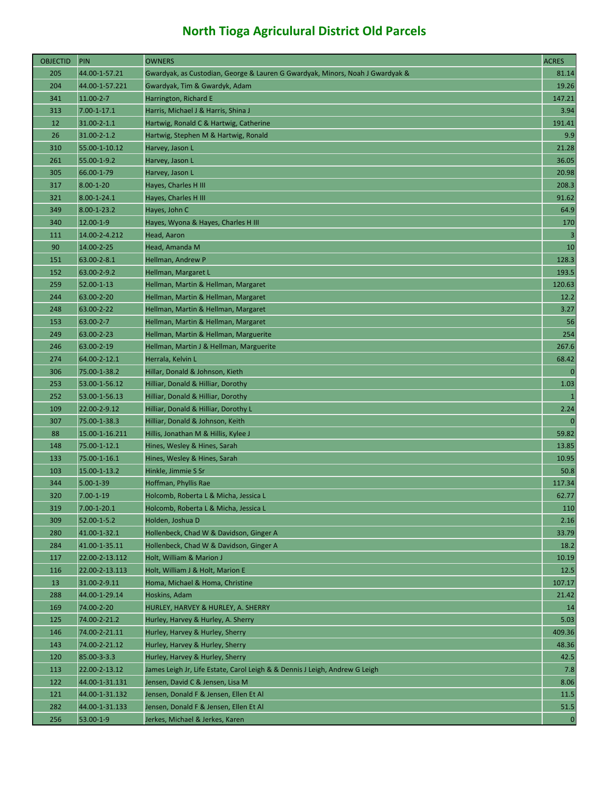| <b>OBJECTID</b> | <b>PIN</b>        | <b>OWNERS</b>                                                                 | <b>ACRES</b> |
|-----------------|-------------------|-------------------------------------------------------------------------------|--------------|
| 205             | 44.00-1-57.21     | Gwardyak, as Custodian, George & Lauren G Gwardyak, Minors, Noah J Gwardyak & | 81.14        |
| 204             | 44.00-1-57.221    | Gwardyak, Tim & Gwardyk, Adam                                                 | 19.26        |
| 341             | $11.00 - 2 - 7$   | Harrington, Richard E                                                         | 147.21       |
| 313             | $7.00 - 1 - 17.1$ | Harris, Michael J & Harris, Shina J                                           | 3.94         |
| 12              | $31.00 - 2 - 1.1$ | Hartwig, Ronald C & Hartwig, Catherine                                        | 191.41       |
| 26              | 31.00-2-1.2       | Hartwig, Stephen M & Hartwig, Ronald                                          | 9.9          |
| 310             | 55.00-1-10.12     | Harvey, Jason L                                                               | 21.28        |
| 261             | 55.00-1-9.2       | Harvey, Jason L                                                               | 36.05        |
| 305             | 66.00-1-79        | Harvey, Jason L                                                               | 20.98        |
| 317             | $8.00 - 1 - 20$   | Hayes, Charles H III                                                          | 208.3        |
| 321             | $8.00 - 1 - 24.1$ | Hayes, Charles H III                                                          | 91.62        |
| 349             | $8.00 - 1 - 23.2$ | Hayes, John C                                                                 | 64.9         |
| 340             | 12.00-1-9         | Hayes, Wyona & Hayes, Charles H III                                           | 170          |
| 111             | 14.00-2-4.212     | Head, Aaron                                                                   | 3            |
| 90              | 14.00-2-25        | Head, Amanda M                                                                | 10           |
| 151             | 63.00-2-8.1       | Hellman, Andrew P                                                             | 128.3        |
| 152             | 63.00-2-9.2       | Hellman, Margaret L                                                           | 193.5        |
| 259             | 52.00-1-13        | Hellman, Martin & Hellman, Margaret                                           | 120.63       |
| 244             | 63.00-2-20        | Hellman, Martin & Hellman, Margaret                                           | 12.2         |
| 248             | 63.00-2-22        | Hellman, Martin & Hellman, Margaret                                           | 3.27         |
| 153             | 63.00-2-7         | Hellman, Martin & Hellman, Margaret                                           | 56           |
| 249             | 63.00-2-23        | Hellman, Martin & Hellman, Marguerite                                         | 254          |
| 246             | 63.00-2-19        | Hellman, Martin J & Hellman, Marguerite                                       | 267.6        |
| 274             | 64.00-2-12.1      | Herrala, Kelvin L                                                             | 68.42        |
| 306             | 75.00-1-38.2      | Hillar, Donald & Johnson, Kieth                                               | $\mathbf{0}$ |
| 253             | 53.00-1-56.12     | Hilliar, Donald & Hilliar, Dorothy                                            | 1.03         |
| 252             | 53.00-1-56.13     | Hilliar, Donald & Hilliar, Dorothy                                            | $\mathbf{1}$ |
| 109             | 22.00-2-9.12      | Hilliar, Donald & Hilliar, Dorothy L                                          | 2.24         |
| 307             | 75.00-1-38.3      | Hilliar, Donald & Johnson, Keith                                              | $\mathbf 0$  |
| 88              | 15.00-1-16.211    | Hillis, Jonathan M & Hillis, Kylee J                                          | 59.82        |
| 148             | 75.00-1-12.1      | Hines, Wesley & Hines, Sarah                                                  | 13.85        |
| 133             | 75.00-1-16.1      | Hines, Wesley & Hines, Sarah                                                  | 10.95        |
| 103             | 15.00-1-13.2      | Hinkle, Jimmie S Sr                                                           | 50.8         |
| 344             | $5.00 - 1 - 39$   | Hoffman, Phyllis Rae                                                          | 117.34       |
| 320             | $7.00 - 1 - 19$   | Holcomb, Roberta L & Micha, Jessica L                                         | 62.77        |
| 319             | $7.00 - 1 - 20.1$ | Holcomb, Roberta L & Micha, Jessica L                                         | 110          |
| 309             | 52.00-1-5.2       | Holden, Joshua D                                                              | 2.16         |
| 280             | 41.00-1-32.1      | Hollenbeck, Chad W & Davidson, Ginger A                                       | 33.79        |
| 284             | 41.00-1-35.11     | Hollenbeck, Chad W & Davidson, Ginger A                                       | 18.2         |
| 117             | 22.00-2-13.112    | Holt, William & Marion J                                                      | 10.19        |
| 116             | 22.00-2-13.113    | Holt, William J & Holt, Marion E                                              | 12.5         |
| 13              | 31.00-2-9.11      | Homa, Michael & Homa, Christine                                               | 107.17       |
| 288             | 44.00-1-29.14     | Hoskins, Adam                                                                 | 21.42        |
| 169             | 74.00-2-20        | HURLEY, HARVEY & HURLEY, A. SHERRY                                            | 14           |
| 125             | 74.00-2-21.2      | Hurley, Harvey & Hurley, A. Sherry                                            | 5.03         |
| 146             | 74.00-2-21.11     | Hurley, Harvey & Hurley, Sherry                                               | 409.36       |
| 143             | 74.00-2-21.12     | Hurley, Harvey & Hurley, Sherry                                               | 48.36        |
| 120             | 85.00-3-3.3       | Hurley, Harvey & Hurley, Sherry                                               | 42.5         |
| 113             | 22.00-2-13.12     | James Leigh Jr, Life Estate, Carol Leigh & & Dennis J Leigh, Andrew G Leigh   | 7.8          |
| 122             | 44.00-1-31.131    | Jensen, David C & Jensen, Lisa M                                              | 8.06         |
| 121             | 44.00-1-31.132    | Jensen, Donald F & Jensen, Ellen Et Al                                        | 11.5         |
| 282             | 44.00-1-31.133    | Jensen, Donald F & Jensen, Ellen Et Al                                        | 51.5         |
| 256             | 53.00-1-9         | Jerkes, Michael & Jerkes, Karen                                               | $\mathbf{0}$ |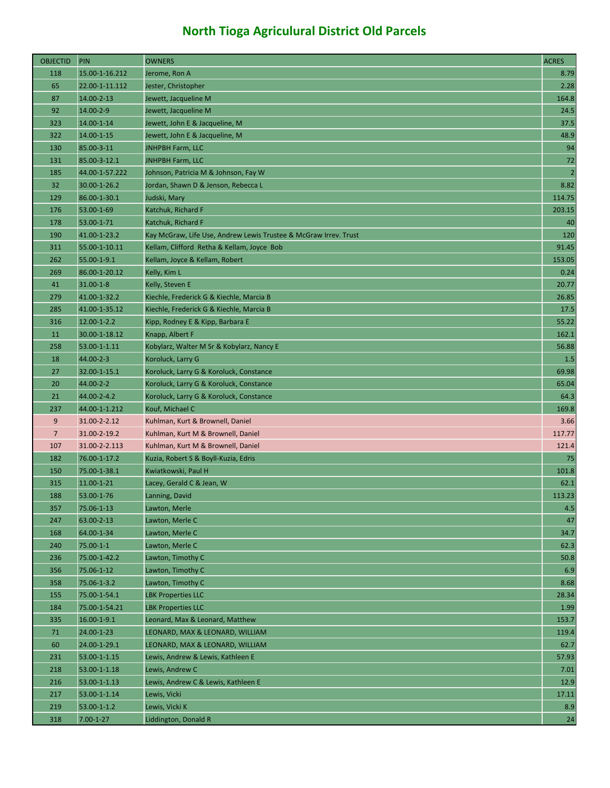| <b>OBJECTID</b> | PIN                                  | <b>OWNERS</b>                                                    | <b>ACRES</b>                                            |
|-----------------|--------------------------------------|------------------------------------------------------------------|---------------------------------------------------------|
| 118             | 15.00-1-16.212                       | Jerome, Ron A                                                    | 8.79                                                    |
| 65              | 22.00-1-11.112                       | Jester, Christopher                                              | 2.28                                                    |
| 87              | 14.00-2-13                           | Jewett, Jacqueline M                                             | 164.8                                                   |
| 92              | 14.00-2-9                            | Jewett, Jacqueline M                                             | 24.5                                                    |
| 323             | 14.00-1-14                           | Jewett, John E & Jacqueline, M                                   | 37.5                                                    |
| 322             | 14.00-1-15                           | Jewett, John E & Jacqueline, M                                   | 48.9                                                    |
| 130             | 85.00-3-11                           | <b>JNHPBH Farm, LLC</b>                                          | 94                                                      |
| 131             | 85.00-3-12.1                         | <b>JNHPBH Farm, LLC</b>                                          | 72                                                      |
| 185             | 44.00-1-57.222                       | Johnson, Patricia M & Johnson, Fay W                             | $\overline{2}$                                          |
| 32              | 30.00-1-26.2                         | Jordan, Shawn D & Jenson, Rebecca L                              | 8.82                                                    |
| 129             | 86.00-1-30.1                         | Judski, Mary                                                     | 114.75                                                  |
| 176             | 53.00-1-69                           | Katchuk, Richard F                                               | 203.15                                                  |
| 178             | 53.00-1-71                           | Katchuk, Richard F                                               | 40                                                      |
| 190             | 41.00-1-23.2                         | Kay McGraw, Life Use, Andrew Lewis Trustee & McGraw Irrev. Trust | 120                                                     |
| 311             | 55.00-1-10.11                        | Kellam, Clifford Retha & Kellam, Joyce Bob                       | 91.45                                                   |
| 262             | 55.00-1-9.1                          | Kellam, Joyce & Kellam, Robert                                   | 153.05                                                  |
| 269             | 86.00-1-20.12                        | Kelly, Kim L                                                     | 0.24                                                    |
| 41              | $31.00 - 1 - 8$                      | Kelly, Steven E                                                  | 20.77                                                   |
| 279             | 41.00-1-32.2                         | Kiechle, Frederick G & Kiechle, Marcia B                         | 26.85                                                   |
| 285             | 41.00-1-35.12                        | Kiechle, Frederick G & Kiechle, Marcia B                         | 17.5                                                    |
| 316             | 12.00-1-2.2                          | Kipp, Rodney E & Kipp, Barbara E                                 | 55.22                                                   |
| 11              | 30.00-1-18.12                        | Knapp, Albert F                                                  | 162.1                                                   |
| 258             | 53.00-1-1.11                         | Kobylarz, Walter M Sr & Kobylarz, Nancy E                        | 56.88                                                   |
| 18              | 44.00-2-3                            | Koroluck, Larry G                                                | 1.5                                                     |
| 27              | 32.00-1-15.1                         | Koroluck, Larry G & Koroluck, Constance                          | 69.98                                                   |
| 20              | 44.00-2-2                            | Koroluck, Larry G & Koroluck, Constance                          | 65.04                                                   |
|                 |                                      |                                                                  |                                                         |
| 21              | 44.00-2-4.2                          | Koroluck, Larry G & Koroluck, Constance                          | 64.3                                                    |
| 237             | 44.00-1-1.212                        | Kouf, Michael C                                                  |                                                         |
| 9               | 31.00-2-2.12                         | Kuhlman, Kurt & Brownell, Daniel                                 |                                                         |
| $\overline{7}$  | 31.00-2-19.2                         | Kuhlman, Kurt M & Brownell, Daniel                               |                                                         |
| 107             | 31.00-2-2.113                        | Kuhlman, Kurt M & Brownell, Daniel                               | 121.4                                                   |
| 182             | 76.00-1-17.2                         | Kuzia, Robert S & Boyll-Kuzia, Edris                             |                                                         |
| 150             | 75.00-1-38.1                         | Kwiatkowski, Paul H                                              |                                                         |
| 315             | 11.00-1-21                           | Lacey, Gerald C & Jean, W                                        | 62.1                                                    |
| 188             | 53.00-1-76                           | Lanning, David                                                   |                                                         |
| 357             | 75.06-1-13                           | Lawton, Merle                                                    | 169.8<br>3.66<br>117.77<br>75<br>101.8<br>113.23<br>4.5 |
| 247             | 63.00-2-13                           | Lawton, Merle C                                                  |                                                         |
| 168             | 64.00-1-34                           | Lawton, Merle C                                                  | 34.7                                                    |
| 240             | 75.00-1-1                            | Lawton, Merle C                                                  | 47<br>62.3                                              |
| 236             | 75.00-1-42.2                         | Lawton, Timothy C                                                | 50.8                                                    |
| 356             | 75.06-1-12                           | Lawton, Timothy C                                                | 6.9                                                     |
| 358             | 75.06-1-3.2                          | Lawton, Timothy C                                                | 8.68                                                    |
| 155             | 75.00-1-54.1                         | <b>LBK Properties LLC</b>                                        | 28.34                                                   |
| 184             | 75.00-1-54.21                        | <b>LBK Properties LLC</b>                                        | 1.99                                                    |
| 335             | $16.00 - 1 - 9.1$                    | Leonard, Max & Leonard, Matthew                                  | 153.7                                                   |
| 71              | 24.00-1-23                           | LEONARD, MAX & LEONARD, WILLIAM                                  | 119.4                                                   |
| 60              | 24.00-1-29.1                         | LEONARD, MAX & LEONARD, WILLIAM                                  | 62.7                                                    |
| 231             | 53.00-1-1.15                         | Lewis, Andrew & Lewis, Kathleen E                                | 57.93                                                   |
| 218             | 53.00-1-1.18                         | Lewis, Andrew C                                                  | 7.01                                                    |
| 216             | 53.00-1-1.13                         | Lewis, Andrew C & Lewis, Kathleen E                              | 12.9                                                    |
| 217             | 53.00-1-1.14                         | Lewis, Vicki                                                     | 17.11                                                   |
| 219<br>318      | $53.00 - 1 - 1.2$<br>$7.00 - 1 - 27$ | Lewis, Vicki K<br>Liddington, Donald R                           | 8.9<br>24                                               |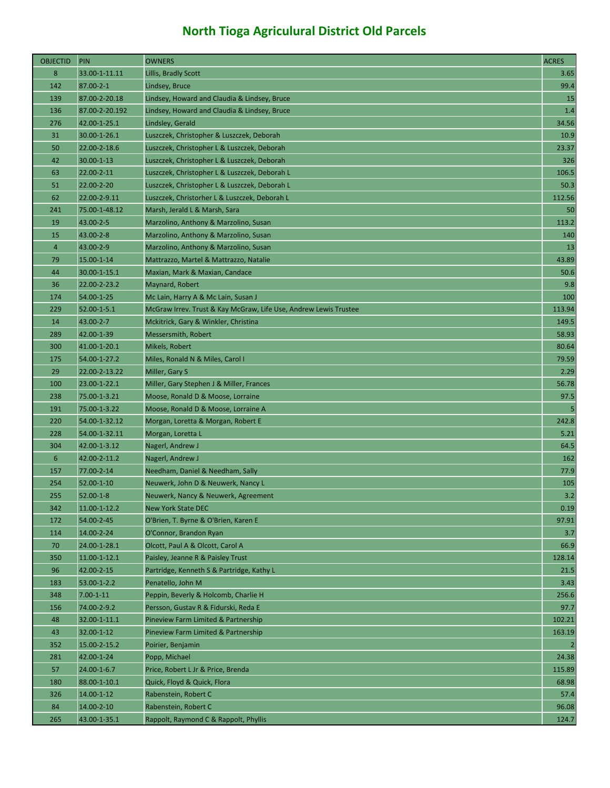| <b>OBJECTID</b> | <b>PIN</b>      | <b>OWNERS</b>                                                    | <b>ACRES</b>   |
|-----------------|-----------------|------------------------------------------------------------------|----------------|
| 8               | 33.00-1-11.11   | Lillis, Bradly Scott                                             | 3.65           |
| 142             | 87.00-2-1       | Lindsey, Bruce                                                   | 99.4           |
| 139             | 87.00-2-20.18   | Lindsey, Howard and Claudia & Lindsey, Bruce                     | 15             |
| 136             | 87.00-2-20.192  | Lindsey, Howard and Claudia & Lindsey, Bruce                     | 1.4            |
| 276             | 42.00-1-25.1    | Lindsley, Gerald                                                 | 34.56          |
| 31              | 30.00-1-26.1    | Luszczek, Christopher & Luszczek, Deborah                        | 10.9           |
| 50              | 22.00-2-18.6    | Luszczek, Christopher L & Luszczek, Deborah                      | 23.37          |
| 42              | 30.00-1-13      | Luszczek, Christopher L & Luszczek, Deborah                      | 326            |
| 63              | 22.00-2-11      | Luszczek, Christopher L & Luszczek, Deborah L                    | 106.5          |
| 51              | 22.00-2-20      | Luszczek, Christopher L & Luszczek, Deborah L                    | 50.3           |
| 62              | 22.00-2-9.11    | Luszczek, Christorher L & Luszczek, Deborah L                    | 112.56         |
| 241             | 75.00-1-48.12   | Marsh, Jerald L & Marsh, Sara                                    | 50             |
| 19              | 43.00-2-5       | Marzolino, Anthony & Marzolino, Susan                            | 113.2          |
| 15              | 43.00-2-8       | Marzolino, Anthony & Marzolino, Susan                            | 140            |
| $\overline{4}$  | 43.00-2-9       | Marzolino, Anthony & Marzolino, Susan                            | 13             |
| 79              | 15.00-1-14      | Mattrazzo, Martel & Mattrazzo, Natalie                           | 43.89          |
| 44              | 30.00-1-15.1    | Maxian, Mark & Maxian, Candace                                   | 50.6           |
| 36              | 22.00-2-23.2    | Maynard, Robert                                                  | 9.8            |
| 174             | 54.00-1-25      | Mc Lain, Harry A & Mc Lain, Susan J                              | 100            |
| 229             | 52.00-1-5.1     | McGraw Irrev. Trust & Kay McGraw, Life Use, Andrew Lewis Trustee | 113.94         |
| 14              | 43.00-2-7       | Mckitrick, Gary & Winkler, Christina                             | 149.5          |
| 289             | 42.00-1-39      | <b>Messersmith, Robert</b>                                       | 58.93          |
| 300             | 41.00-1-20.1    | Mikels, Robert                                                   | 80.64          |
| 175             | 54.00-1-27.2    | Miles, Ronald N & Miles, Carol I                                 | 79.59          |
| 29              | 22.00-2-13.22   | Miller, Gary S                                                   | 2.29           |
| 100             | 23.00-1-22.1    | Miller, Gary Stephen J & Miller, Frances                         | 56.78          |
| 238             | 75.00-1-3.21    | Moose, Ronald D & Moose, Lorraine                                | 97.5           |
| 191             | 75.00-1-3.22    | Moose, Ronald D & Moose, Lorraine A                              | $\overline{5}$ |
| 220             | 54.00-1-32.12   | Morgan, Loretta & Morgan, Robert E                               | 242.8          |
| 228             | 54.00-1-32.11   | Morgan, Loretta L                                                | 5.21           |
| 304             | 42.00-1-3.12    | Nagerl, Andrew J                                                 | 64.5           |
| $6\phantom{1}6$ | 42.00-2-11.2    | Nagerl, Andrew J                                                 | 162            |
| 157             | 77.00-2-14      | Needham, Daniel & Needham, Sally                                 | 77.9           |
| 254             | 52.00-1-10      | Neuwerk, John D & Neuwerk, Nancy L                               | 105            |
| 255             | $52.00 - 1 - 8$ | Neuwerk, Nancy & Neuwerk, Agreement                              | 3.2            |
| 342             | 11.00-1-12.2    | <b>New York State DEC</b>                                        | 0.19           |
| 172             | 54.00-2-45      | O'Brien, T. Byrne & O'Brien, Karen E                             | 97.91          |
| 114             | 14.00-2-24      | O'Connor, Brandon Ryan                                           | 3.7            |
| 70              | 24.00-1-28.1    | Olcott, Paul A & Olcott, Carol A                                 | 66.9           |
| 350             | 11.00-1-12.1    | Paisley, Jeanne R & Paisley Trust                                | 128.14         |
| 96              | 42.00-2-15      | Partridge, Kenneth S & Partridge, Kathy L                        | 21.5           |
| 183             | 53.00-1-2.2     | Penatello, John M                                                | 3.43           |
| 348             | $7.00 - 1 - 11$ | Peppin, Beverly & Holcomb, Charlie H                             | 256.6          |
| 156             | 74.00-2-9.2     | Persson, Gustav R & Fidurski, Reda E                             | 97.7           |
| 48              | 32.00-1-11.1    | Pineview Farm Limited & Partnership                              | 102.21         |
| 43              | 32.00-1-12      | Pineview Farm Limited & Partnership                              | 163.19         |
| 352             | 15.00-2-15.2    | Poirier, Benjamin                                                | $\overline{2}$ |
| 281             | 42.00-1-24      | Popp, Michael                                                    | 24.38          |
| 57              | 24.00-1-6.7     | Price, Robert L Jr & Price, Brenda                               | 115.89         |
| 180             | 88.00-1-10.1    | Quick, Floyd & Quick, Flora                                      | 68.98          |
| 326             | 14.00-1-12      | Rabenstein, Robert C                                             | 57.4           |
| 84              | 14.00-2-10      | Rabenstein, Robert C                                             | 96.08          |
| 265             | 43.00-1-35.1    | Rappolt, Raymond C & Rappolt, Phyllis                            | 124.7          |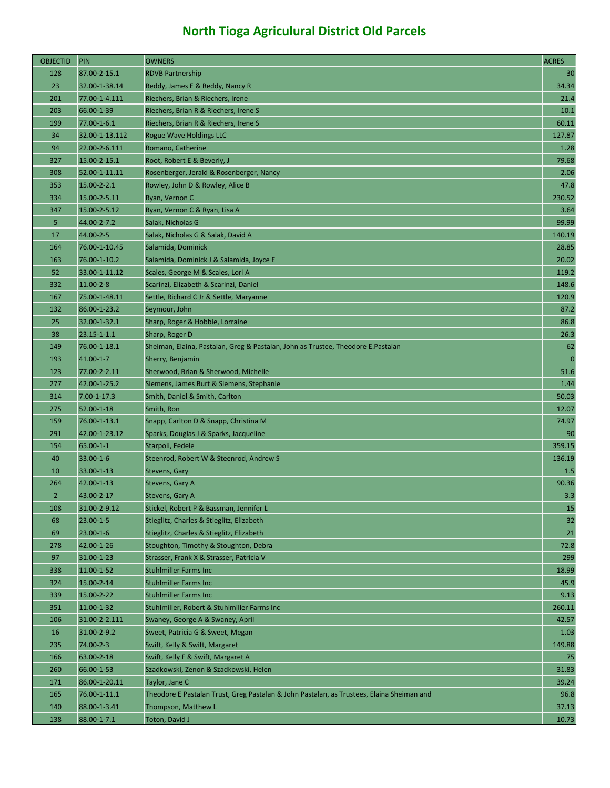| <b>OBJECTID</b> | PIN               | <b>OWNERS</b>                                                                             | <b>ACRES</b>    |
|-----------------|-------------------|-------------------------------------------------------------------------------------------|-----------------|
| 128             | 87.00-2-15.1      | <b>RDVB Partnership</b>                                                                   | 30              |
| 23              | 32.00-1-38.14     | Reddy, James E & Reddy, Nancy R                                                           | 34.34           |
| 201             | 77.00-1-4.111     | Riechers, Brian & Riechers, Irene                                                         | 21.4            |
| 203             | 66.00-1-39        | Riechers, Brian R & Riechers, Irene S                                                     | 10.1            |
| 199             | 77.00-1-6.1       | Riechers, Brian R & Riechers, Irene S                                                     | 60.11           |
| 34              | 32.00-1-13.112    | <b>Rogue Wave Holdings LLC</b>                                                            | 127.87          |
| 94              | 22.00-2-6.111     | Romano, Catherine                                                                         | 1.28            |
| 327             | 15.00-2-15.1      | Root, Robert E & Beverly, J                                                               | 79.68           |
| 308             | 52.00-1-11.11     | Rosenberger, Jerald & Rosenberger, Nancy                                                  | 2.06            |
| 353             | $15.00 - 2 - 2.1$ | Rowley, John D & Rowley, Alice B                                                          | 47.8            |
| 334             | 15.00-2-5.11      | Ryan, Vernon C                                                                            | 230.52          |
| 347             | 15.00-2-5.12      | Ryan, Vernon C & Ryan, Lisa A                                                             | 3.64            |
| 5               | 44.00-2-7.2       | Salak, Nicholas G                                                                         | 99.99           |
| 17              | 44.00-2-5         | Salak, Nicholas G & Salak, David A                                                        | 140.19          |
| 164             | 76.00-1-10.45     | Salamida, Dominick                                                                        | 28.85           |
| 163             | 76.00-1-10.2      | Salamida, Dominick J & Salamida, Joyce E                                                  | 20.02           |
| 52              | 33.00-1-11.12     | Scales, George M & Scales, Lori A                                                         | 119.2           |
| 332             | $11.00 - 2 - 8$   | Scarinzi, Elizabeth & Scarinzi, Daniel                                                    | 148.6           |
| 167             | 75.00-1-48.11     | Settle, Richard C Jr & Settle, Maryanne                                                   | 120.9           |
| 132             | 86.00-1-23.2      | Seymour, John                                                                             | 87.2            |
| 25              | 32.00-1-32.1      | Sharp, Roger & Hobbie, Lorraine                                                           | 86.8            |
| 38              | $23.15 - 1 - 1.1$ | Sharp, Roger D                                                                            | 26.3            |
| 149             | 76.00-1-18.1      | Sheiman, Elaina, Pastalan, Greg & Pastalan, John as Trustee, Theodore E.Pastalan          | 62              |
| 193             | 41.00-1-7         | Sherry, Benjamin                                                                          | $\overline{0}$  |
| 123             | 77.00-2-2.11      | Sherwood, Brian & Sherwood, Michelle                                                      | 51.6            |
| 277             | 42.00-1-25.2      | Siemens, James Burt & Siemens, Stephanie                                                  | 1.44            |
| 314             | $7.00 - 1 - 17.3$ | Smith, Daniel & Smith, Carlton                                                            | 50.03           |
| 275             | 52.00-1-18        | Smith, Ron                                                                                | 12.07           |
| 159             | 76.00-1-13.1      | Snapp, Carlton D & Snapp, Christina M                                                     | 74.97           |
| 291             | 42.00-1-23.12     | Sparks, Douglas J & Sparks, Jacqueline                                                    | 90 <sub>0</sub> |
| 154             | 65.00-1-1         | Starpoli, Fedele                                                                          | 359.15          |
| 40              | 33.00-1-6         | Steenrod, Robert W & Steenrod, Andrew S                                                   | 136.19          |
| 10              | 33.00-1-13        | Stevens, Gary                                                                             | 1.5             |
| 264             | 42.00-1-13        | Stevens, Gary A                                                                           | 90.36           |
| $\overline{2}$  | 43.00-2-17        | Stevens, Gary A                                                                           | 3.3             |
| 108             | 31.00-2-9.12      | Stickel, Robert P & Bassman, Jennifer L                                                   | 15              |
| 68              | $23.00 - 1 - 5$   | Stieglitz, Charles & Stieglitz, Elizabeth                                                 | 32              |
| 69              | $23.00 - 1 - 6$   | Stieglitz, Charles & Stieglitz, Elizabeth                                                 | 21              |
| 278             | 42.00-1-26        | Stoughton, Timothy & Stoughton, Debra                                                     | 72.8            |
| 97              | 31.00-1-23        | Strasser, Frank X & Strasser, Patricia V                                                  | 299             |
| 338             | 11.00-1-52        | <b>Stuhlmiller Farms Inc</b>                                                              | 18.99           |
| 324             | 15.00-2-14        | <b>Stuhlmiller Farms Inc</b>                                                              | 45.9            |
| 339             | 15.00-2-22        | <b>Stuhlmiller Farms Inc</b>                                                              | 9.13            |
| 351             | 11.00-1-32        | Stuhlmiller, Robert & Stuhlmiller Farms Inc                                               | 260.11          |
| 106             | 31.00-2-2.111     | Swaney, George A & Swaney, April                                                          | 42.57           |
| 16              | 31.00-2-9.2       | Sweet, Patricia G & Sweet, Megan                                                          | 1.03            |
| 235             | 74.00-2-3         | Swift, Kelly & Swift, Margaret                                                            | 149.88          |
| 166             | 63.00-2-18        | Swift, Kelly F & Swift, Margaret A                                                        | 75              |
| 260             | 66.00-1-53        | Szadkowski, Zenon & Szadkowski, Helen                                                     | 31.83           |
| 171             | 86.00-1-20.11     | Taylor, Jane C                                                                            | 39.24           |
| 165             | 76.00-1-11.1      | Theodore E Pastalan Trust, Greg Pastalan & John Pastalan, as Trustees, Elaina Sheiman and | 96.8            |
| 140             | 88.00-1-3.41      | Thompson, Matthew L                                                                       | 37.13           |
| 138             | 88.00-1-7.1       | Toton, David J                                                                            | 10.73           |